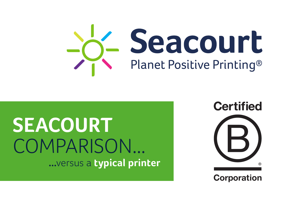## **SEACOURT** COMPARISON... **...**versus a **typical printer**



## **Corporation**